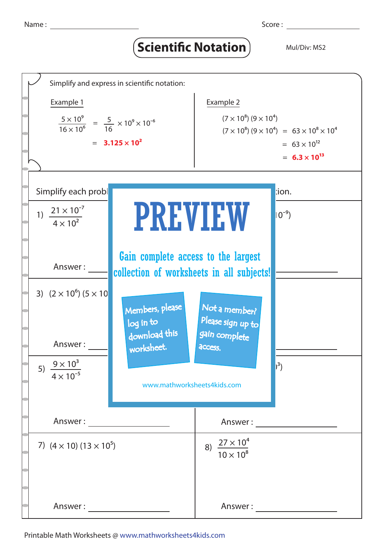## **Scientific Notation** Mul/Div: MS2



Printable Math Worksheets @ www.mathworksheets4kids.com